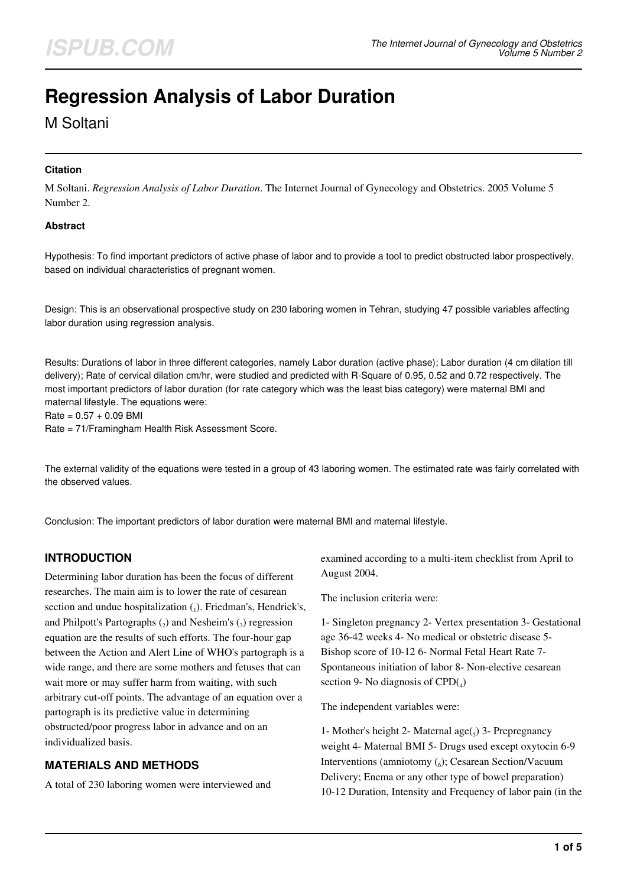# **Regression Analysis of Labor Duration**

M Soltani

#### **Citation**

M Soltani. *Regression Analysis of Labor Duration*. The Internet Journal of Gynecology and Obstetrics. 2005 Volume 5 Number 2.

#### **Abstract**

Hypothesis: To find important predictors of active phase of labor and to provide a tool to predict obstructed labor prospectively, based on individual characteristics of pregnant women.

Design: This is an observational prospective study on 230 laboring women in Tehran, studying 47 possible variables affecting labor duration using regression analysis.

Results: Durations of labor in three different categories, namely Labor duration (active phase); Labor duration (4 cm dilation till delivery); Rate of cervical dilation cm/hr, were studied and predicted with R-Square of 0.95, 0.52 and 0.72 respectively. The most important predictors of labor duration (for rate category which was the least bias category) were maternal BMI and maternal lifestyle. The equations were:

 $Rate = 0.57 + 0.09$  BMI

Rate = 71/Framingham Health Risk Assessment Score.

The external validity of the equations were tested in a group of 43 laboring women. The estimated rate was fairly correlated with the observed values.

Conclusion: The important predictors of labor duration were maternal BMI and maternal lifestyle.

# **INTRODUCTION**

Determining labor duration has been the focus of different researches. The main aim is to lower the rate of cesarean section and undue hospitalization  $(_1)$ . Friedman's, Hendrick's, and Philpott's Partographs  $(_{2})$  and Nesheim's  $(_{3})$  regression equation are the results of such efforts. The four-hour gap between the Action and Alert Line of WHO's partograph is a wide range, and there are some mothers and fetuses that can wait more or may suffer harm from waiting, with such arbitrary cut-off points. The advantage of an equation over a partograph is its predictive value in determining obstructed/poor progress labor in advance and on an individualized basis.

# **MATERIALS AND METHODS**

A total of 230 laboring women were interviewed and

examined according to a multi-item checklist from April to August 2004.

The inclusion criteria were:

1- Singleton pregnancy 2- Vertex presentation 3- Gestational age 36-42 weeks 4- No medical or obstetric disease 5- Bishop score of 10-12 6- Normal Fetal Heart Rate 7- Spontaneous initiation of labor 8- Non-elective cesarean section 9- No diagnosis of  $CPD(4)$ 

The independent variables were:

1- Mother's height 2- Maternal age( $_5$ ) 3- Prepregnancy weight 4- Maternal BMI 5- Drugs used except oxytocin 6-9 Interventions (amniotomy  $\binom{6}{6}$ ; Cesarean Section/Vacuum Delivery; Enema or any other type of bowel preparation) 10-12 Duration, Intensity and Frequency of labor pain (in the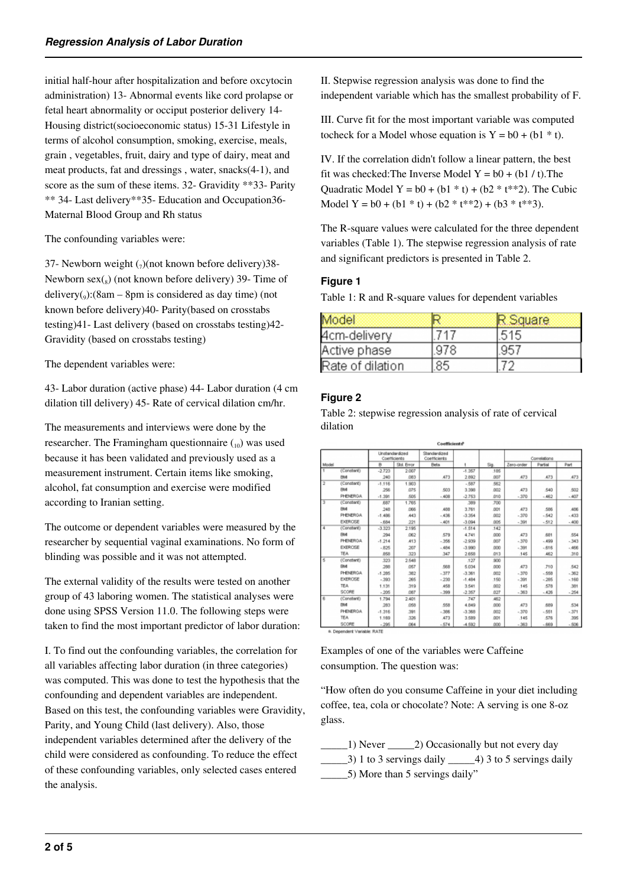initial half-hour after hospitalization and before oxcytocin administration) 13- Abnormal events like cord prolapse or fetal heart abnormality or occiput posterior delivery 14- Housing district(socioeconomic status) 15-31 Lifestyle in terms of alcohol consumption, smoking, exercise, meals, grain , vegetables, fruit, dairy and type of dairy, meat and meat products, fat and dressings , water, snacks(4-1), and score as the sum of these items. 32- Gravidity \*\*33- Parity \*\* 34- Last delivery\*\*35- Education and Occupation36- Maternal Blood Group and Rh status

The confounding variables were:

37- Newborn weight  $\binom{7}{10}$  (not known before delivery) 38-Newborn  $sex(s)$  (not known before delivery) 39- Time of  $\text{delivery}(_9)$ :(8am – 8pm is considered as day time) (not known before delivery)40- Parity(based on crosstabs testing)41- Last delivery (based on crosstabs testing)42- Gravidity (based on crosstabs testing)

The dependent variables were:

43- Labor duration (active phase) 44- Labor duration (4 cm dilation till delivery) 45- Rate of cervical dilation cm/hr.

The measurements and interviews were done by the researcher. The Framingham questionnaire  $_{10}$ ) was used because it has been validated and previously used as a measurement instrument. Certain items like smoking, alcohol, fat consumption and exercise were modified according to Iranian setting.

The outcome or dependent variables were measured by the researcher by sequential vaginal examinations. No form of blinding was possible and it was not attempted.

The external validity of the results were tested on another group of 43 laboring women. The statistical analyses were done using SPSS Version 11.0. The following steps were taken to find the most important predictor of labor duration:

I. To find out the confounding variables, the correlation for all variables affecting labor duration (in three categories) was computed. This was done to test the hypothesis that the confounding and dependent variables are independent. Based on this test, the confounding variables were Gravidity, Parity, and Young Child (last delivery). Also, those independent variables determined after the delivery of the child were considered as confounding. To reduce the effect of these confounding variables, only selected cases entered the analysis.

II. Stepwise regression analysis was done to find the independent variable which has the smallest probability of F.

III. Curve fit for the most important variable was computed tocheck for a Model whose equation is  $Y = b0 + (b1 * t)$ .

IV. If the correlation didn't follow a linear pattern, the best fit was checked: The Inverse Model  $Y = b0 + (b1 / t)$ . The Quadratic Model Y =  $b0 + (b1 * t) + (b2 * t**2)$ . The Cubic Model Y =  $b0 + (b1 * t) + (b2 * t * 2) + (b3 * t * 3)$ .

The R-square values were calculated for the three dependent variables (Table 1). The stepwise regression analysis of rate and significant predictors is presented in Table 2.

## **Figure 1**

Table 1: R and R-square values for dependent variables

| Model            |     | Square |
|------------------|-----|--------|
| 4cm-delivery     | 717 | 1515   |
| Active phase     | 978 |        |
| Rate of dilation | 85  |        |

# **Figure 2**

Table 2: stepwise regression analysis of rate of cervical dilation

|       |                 | Unstandandized<br>Coefficients |            | Standardized<br>Coefficients<br><b>Bets</b> |          | Sig.       | Correlations |         |        |
|-------|-----------------|--------------------------------|------------|---------------------------------------------|----------|------------|--------------|---------|--------|
| Model |                 | $\theta$                       | Std. Error |                                             |          |            | Zero-order   | Partial | Part   |
|       | (Constant)      | $-2.723$                       | 2.007      |                                             | $-1.357$ | 185        |              |         |        |
|       | <b>BM</b>       | 240                            | 083        | 473                                         | 2.892    | 007        | 473          | 473     | 473    |
|       | (Constant)      | $-1.116$                       | 1.903      |                                             | $-587$   | 562        |              |         |        |
|       | <b>BM</b>       | 256                            | 075        | 503                                         | 3.398    | 002        | 473          | 540     | 502    |
|       | PHENERGA        | $-1.391$                       | 505        | $-408$                                      | $-2.753$ | 010        | $-370$       | $-462$  | $-407$ |
| 3     | (Constant)      | 687                            | 1.765      |                                             | 389      | 700        |              |         |        |
|       | <b>BM</b>       | 248                            | .066       | ,488                                        | 3.761    | <b>DD1</b> | ,473         | 586     | 456    |
|       | <b>PHENERGA</b> | $-1.486$                       | 443        | $-436$                                      | $-3.354$ | 002        | $-370$       | $-542$  | $-433$ |
|       | <b>EXERCISE</b> | $-684$                         | 221        | $-401$                                      | $-3.094$ | .005       | $-391$       | $-512$  | $-400$ |
| 4     | (Constant)      | $-3.323$                       | 2.195      |                                             | $-1.514$ | 142        |              |         |        |
|       | <b>BM</b>       | 294                            | 062        | 579                                         | 4.741    | 000        | 473          | 681     | 554    |
|       | <b>PHENERGA</b> | $-1,214$                       | 413        | $-356$                                      | $-2.939$ | 007        | $-370$       | $-499$  | $-343$ |
|       | <b>EXERCISE</b> | $-825$                         | 207        | $-484$                                      | $-3.990$ | 000        | $-391$       | $-616$  | $-466$ |
|       | TEA.            | 858                            | 323        | 347                                         | 2.658    | 013        | .145         | 462     | 310    |
| s     | (Constant)      | 323                            | 2.548      |                                             | .127     | 900        |              |         |        |
|       | BM              | 200                            | 057        | 568                                         | 5.034    | 000        | ,473         | .710    | 542    |
|       | PHENEROA        | $-1.285$                       | 382        | $-377$                                      | $-3.361$ | 002        | $-370$       | $-558$  | $-362$ |
|       | <b>EXERCISE</b> | $-393$                         | .265       | $-230$                                      | $-1.484$ | .150       | $-391$       | $-285$  | $-160$ |
|       | TEA.            | 1.131                          | 319        | 458                                         | 3.541    | .002       | .145         | 578     | 381    |
|       | SCORE           | $-205$                         | 087        | $-399$                                      | $-2.357$ | 027        | $-363$       | $-426$  | $-254$ |
| 6     | (Constant)      | 1.794                          | 2.401      |                                             | .747     | 462        |              |         |        |
|       | <b>BM</b>       | 283                            | .058       | 558                                         | 4.849    | 000        | 473          | 689     | 534    |
|       | PHENERGA        | $-1.316$                       | 391        | $-306$                                      | $-3.368$ | 002        | $-370$       | $-551$  | $-371$ |
|       | <b>TEA</b>      | 1.169                          | .326       | 473                                         | 3.589    | .001       | .145         | 576     | 395    |
|       | SCORE           | $-295$                         | .064       | $-574$                                      | $-4.592$ | 000        | $-363$       | $-669$  | $-506$ |

Examples of one of the variables were Caffeine consumption. The question was:

"How often do you consume Caffeine in your diet including coffee, tea, cola or chocolate? Note: A serving is one 8-oz glass.

\_\_\_\_\_1) Never \_\_\_\_\_2) Occasionally but not every day

- \_\_\_\_\_3) 1 to 3 servings daily \_\_\_\_\_4) 3 to 5 servings daily
- \_\_\_\_\_5) More than 5 servings daily"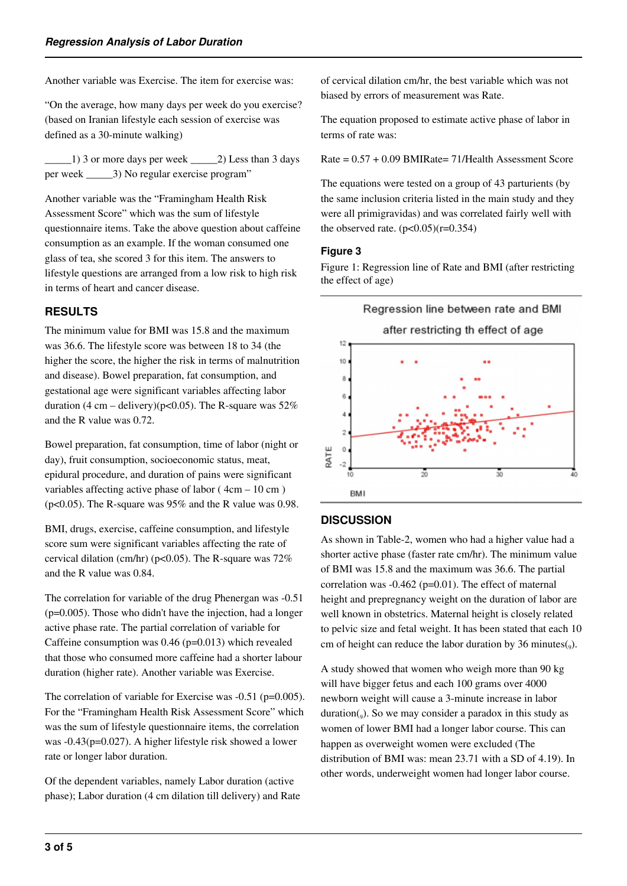Another variable was Exercise. The item for exercise was:

"On the average, how many days per week do you exercise? (based on Iranian lifestyle each session of exercise was defined as a 30-minute walking)

\_\_\_\_\_1) 3 or more days per week \_\_\_\_\_2) Less than 3 days per week \_\_\_\_\_3) No regular exercise program"

Another variable was the "Framingham Health Risk Assessment Score" which was the sum of lifestyle questionnaire items. Take the above question about caffeine consumption as an example. If the woman consumed one glass of tea, she scored 3 for this item. The answers to lifestyle questions are arranged from a low risk to high risk in terms of heart and cancer disease.

## **RESULTS**

The minimum value for BMI was 15.8 and the maximum was 36.6. The lifestyle score was between 18 to 34 (the higher the score, the higher the risk in terms of malnutrition and disease). Bowel preparation, fat consumption, and gestational age were significant variables affecting labor duration  $(4 \text{ cm} - \text{ delivery})(p<0.05)$ . The R-square was 52% and the R value was 0.72.

Bowel preparation, fat consumption, time of labor (night or day), fruit consumption, socioeconomic status, meat, epidural procedure, and duration of pains were significant variables affecting active phase of labor ( $4cm - 10 cm$ ) (p<0.05). The R-square was 95% and the R value was 0.98.

BMI, drugs, exercise, caffeine consumption, and lifestyle score sum were significant variables affecting the rate of cervical dilation (cm/hr) ( $p<0.05$ ). The R-square was 72% and the R value was 0.84.

The correlation for variable of the drug Phenergan was -0.51 (p=0.005). Those who didn't have the injection, had a longer active phase rate. The partial correlation of variable for Caffeine consumption was 0.46 (p=0.013) which revealed that those who consumed more caffeine had a shorter labour duration (higher rate). Another variable was Exercise.

The correlation of variable for Exercise was -0.51 (p=0.005). For the "Framingham Health Risk Assessment Score" which was the sum of lifestyle questionnaire items, the correlation was -0.43(p=0.027). A higher lifestyle risk showed a lower rate or longer labor duration.

Of the dependent variables, namely Labor duration (active phase); Labor duration (4 cm dilation till delivery) and Rate of cervical dilation cm/hr, the best variable which was not biased by errors of measurement was Rate.

The equation proposed to estimate active phase of labor in terms of rate was:

Rate = 0.57 + 0.09 BMIRate= 71/Health Assessment Score

The equations were tested on a group of 43 parturients (by the same inclusion criteria listed in the main study and they were all primigravidas) and was correlated fairly well with the observed rate.  $(p<0.05)(r=0.354)$ 

#### **Figure 3**

Figure 1: Regression line of Rate and BMI (after restricting the effect of age)



#### **DISCUSSION**

As shown in Table-2, women who had a higher value had a shorter active phase (faster rate cm/hr). The minimum value of BMI was 15.8 and the maximum was 36.6. The partial correlation was  $-0.462$  ( $p=0.01$ ). The effect of maternal height and prepregnancy weight on the duration of labor are well known in obstetrics. Maternal height is closely related to pelvic size and fetal weight. It has been stated that each 10 cm of height can reduce the labor duration by 36 minutes $(_{9})$ .

A study showed that women who weigh more than 90 kg will have bigger fetus and each 100 grams over 4000 newborn weight will cause a 3-minute increase in labor duration(<sub>9</sub>). So we may consider a paradox in this study as women of lower BMI had a longer labor course. This can happen as overweight women were excluded (The distribution of BMI was: mean 23.71 with a SD of 4.19). In other words, underweight women had longer labor course.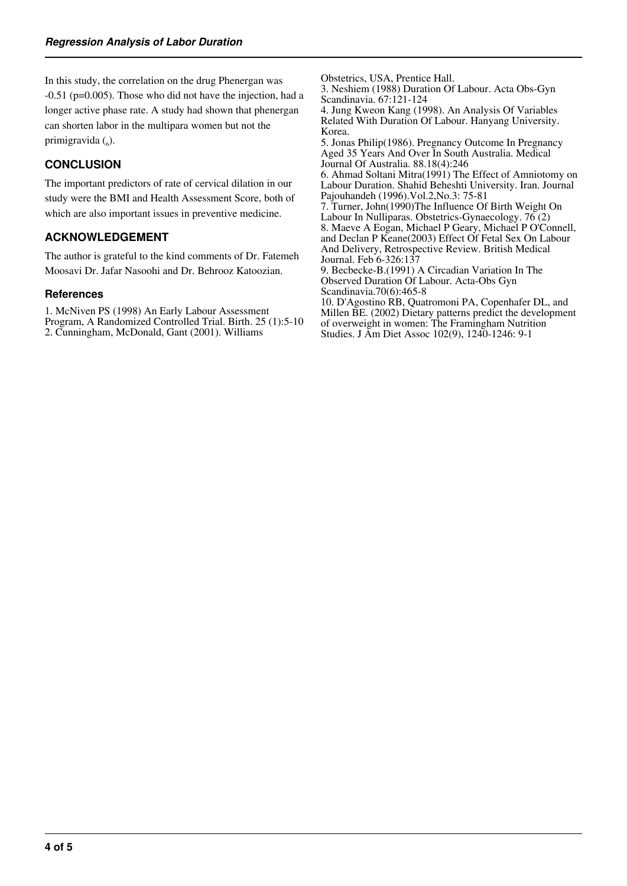In this study, the correlation on the drug Phenergan was -0.51 (p=0.005). Those who did not have the injection, had a longer active phase rate. A study had shown that phenergan can shorten labor in the multipara women but not the primigravida (6).

# **CONCLUSION**

The important predictors of rate of cervical dilation in our study were the BMI and Health Assessment Score, both of which are also important issues in preventive medicine.

## **ACKNOWLEDGEMENT**

The author is grateful to the kind comments of Dr. Fatemeh Moosavi Dr. Jafar Nasoohi and Dr. Behrooz Katoozian.

#### **References**

1. McNiven PS (1998) An Early Labour Assessment Program, A Randomized Controlled Trial. Birth. 25 (1):5-10 2. Cunningham, McDonald, Gant (2001). Williams

Obstetrics, USA, Prentice Hall. 3. Neshiem (1988) Duration Of Labour. Acta Obs-Gyn

Scandinavia. 67:121-124 4. Jung Kweon Kang (1998). An Analysis Of Variables

Related With Duration Of Labour. Hanyang University. Korea.

5. Jonas Philip(1986). Pregnancy Outcome In Pregnancy Aged 35 Years And Over In South Australia. Medical Journal Of Australia. 88.18(4):246

6. Ahmad Soltani Mitra(1991) The Effect of Amniotomy on Labour Duration. Shahid Beheshti University. Iran. Journal Pajouhandeh (1996).Vol.2,No.3: 75-81

7. Turner, John(1990)The Influence Of Birth Weight On Labour In Nulliparas. Obstetrics-Gynaecology. 76 (2) 8. Maeve A Eogan, Michael P Geary, Michael P O'Connell, and Declan P Keane(2003) Effect Of Fetal Sex On Labour And Delivery, Retrospective Review. British Medical Journal. Feb 6-326:137

9. Becbecke-B.(1991) A Circadian Variation In The Observed Duration Of Labour. Acta-Obs Gyn Scandinavia.70(6):465-8

10. D'Agostino RB, Quatromoni PA, Copenhafer DL, and Millen BE. (2002) Dietary patterns predict the development of overweight in women: The Framingham Nutrition Studies. J Am Diet Assoc 102(9), 1240-1246: 9-1